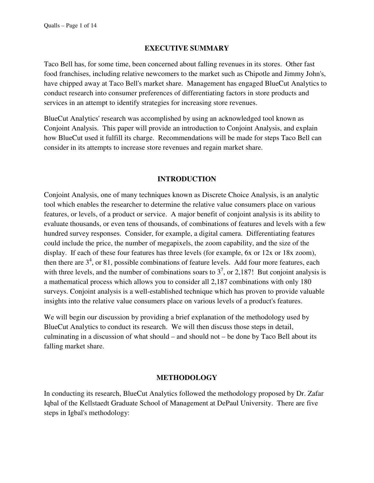#### **EXECUTIVE SUMMARY**

Taco Bell has, for some time, been concerned about falling revenues in its stores. Other fast food franchises, including relative newcomers to the market such as Chipotle and Jimmy John's, have chipped away at Taco Bell's market share. Management has engaged BlueCut Analytics to conduct research into consumer preferences of differentiating factors in store products and services in an attempt to identify strategies for increasing store revenues.

BlueCut Analytics' research was accomplished by using an acknowledged tool known as Conjoint Analysis. This paper will provide an introduction to Conjoint Analysis, and explain how BlueCut used it fulfill its charge. Recommendations will be made for steps Taco Bell can consider in its attempts to increase store revenues and regain market share.

### **INTRODUCTION**

Conjoint Analysis, one of many techniques known as Discrete Choice Analysis, is an analytic tool which enables the researcher to determine the relative value consumers place on various features, or levels, of a product or service. A major benefit of conjoint analysis is its ability to evaluate thousands, or even tens of thousands, of combinations of features and levels with a few hundred survey responses. Consider, for example, a digital camera. Differentiating features could include the price, the number of megapixels, the zoom capability, and the size of the display. If each of these four features has three levels (for example, 6x or 12x or 18x zoom), then there are  $3<sup>4</sup>$ , or 81, possible combinations of feature levels. Add four more features, each with three levels, and the number of combinations soars to  $3^7$ , or 2,187! But conjoint analysis is a mathematical process which allows you to consider all 2,187 combinations with only 180 surveys. Conjoint analysis is a well-established technique which has proven to provide valuable insights into the relative value consumers place on various levels of a product's features.

We will begin our discussion by providing a brief explanation of the methodology used by BlueCut Analytics to conduct its research. We will then discuss those steps in detail, culminating in a discussion of what should – and should not – be done by Taco Bell about its falling market share.

#### **METHODOLOGY**

In conducting its research, BlueCut Analytics followed the methodology proposed by Dr. Zafar Iqbal of the Kellstaedt Graduate School of Management at DePaul University. There are five steps in Igbal's methodology: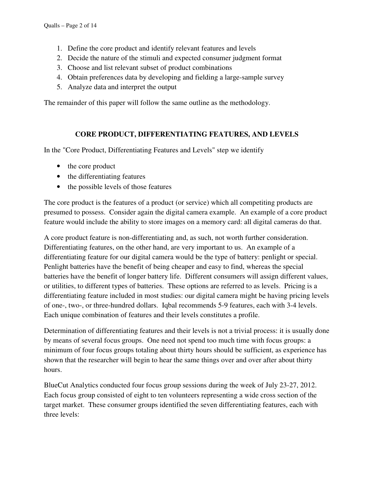- 1. Define the core product and identify relevant features and levels
- 2. Decide the nature of the stimuli and expected consumer judgment format
- 3. Choose and list relevant subset of product combinations
- 4. Obtain preferences data by developing and fielding a large-sample survey
- 5. Analyze data and interpret the output

The remainder of this paper will follow the same outline as the methodology.

### **CORE PRODUCT, DIFFERENTIATING FEATURES, AND LEVELS**

In the "Core Product, Differentiating Features and Levels" step we identify

- the core product
- the differentiating features
- the possible levels of those features

The core product is the features of a product (or service) which all competiting products are presumed to possess. Consider again the digital camera example. An example of a core product feature would include the ability to store images on a memory card: all digital cameras do that.

A core product feature is non-differentiating and, as such, not worth further consideration. Differentiating features, on the other hand, are very important to us. An example of a differentiating feature for our digital camera would be the type of battery: penlight or special. Penlight batteries have the benefit of being cheaper and easy to find, whereas the special batteries have the benefit of longer battery life. Different consumers will assign different values, or utilities, to different types of batteries. These options are referred to as levels. Pricing is a differentiating feature included in most studies: our digital camera might be having pricing levels of one-, two-, or three-hundred dollars. Iqbal recommends 5-9 features, each with 3-4 levels. Each unique combination of features and their levels constitutes a profile.

Determination of differentiating features and their levels is not a trivial process: it is usually done by means of several focus groups. One need not spend too much time with focus groups: a minimum of four focus groups totaling about thirty hours should be sufficient, as experience has shown that the researcher will begin to hear the same things over and over after about thirty hours.

BlueCut Analytics conducted four focus group sessions during the week of July 23-27, 2012. Each focus group consisted of eight to ten volunteers representing a wide cross section of the target market. These consumer groups identified the seven differentiating features, each with three levels: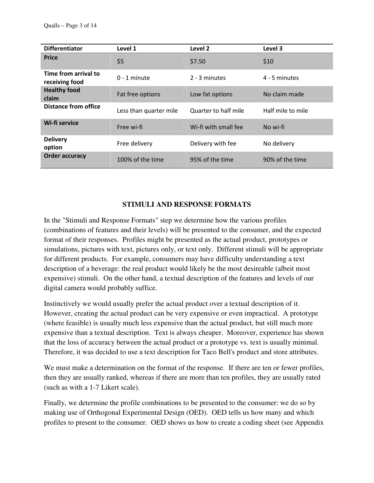| <b>Differentiator</b>                  | Level 1                | Level 2              | Level 3           |
|----------------------------------------|------------------------|----------------------|-------------------|
| <b>Price</b>                           | \$5                    | \$7.50               | \$10              |
| Time from arrival to<br>receiving food | $0 - 1$ minute         | 2 - 3 minutes        | 4 - 5 minutes     |
| <b>Healthy food</b><br>claim           | Fat free options       | Low fat options      | No claim made     |
| <b>Distance from office</b>            | Less than quarter mile | Quarter to half mile | Half mile to mile |
| Wi-fi service                          | Free wi-fi             | Wi-fi with small fee | No wi-fi          |
| <b>Delivery</b><br>option              | Free delivery          | Delivery with fee    | No delivery       |
| <b>Order accuracy</b>                  | 100% of the time       | 95% of the time      | 90% of the time   |

## **STIMULI AND RESPONSE FORMATS**

In the "Stimuli and Response Formats" step we determine how the various profiles (combinations of features and their levels) will be presented to the consumer, and the expected format of their responses. Profiles might be presented as the actual product, prototypes or simulations, pictures with text, pictures only, or text only. Different stimuli will be appropriate for different products. For example, consumers may have difficulty understanding a text description of a beverage: the real product would likely be the most desireable (albeit most expensive) stimuli. On the other hand, a textual description of the features and levels of our digital camera would probably suffice.

Instinctively we would usually prefer the actual product over a textual description of it. However, creating the actual product can be very expensive or even impractical. A prototype (where feasible) is usually much less expensive than the actual product, but still much more expensive than a textual description. Text is always cheaper. Moreover, experience has shown that the loss of accuracy between the actual product or a prototype vs. text is usually minimal. Therefore, it was decided to use a text description for Taco Bell's product and store attributes.

We must make a determination on the format of the response. If there are ten or fewer profiles, then they are usually ranked, whereas if there are more than ten profiles, they are usually rated (such as with a 1-7 Likert scale).

Finally, we determine the profile combinations to be presented to the consumer: we do so by making use of Orthogonal Experimental Design (OED). OED tells us how many and which profiles to present to the consumer. OED shows us how to create a coding sheet (see Appendix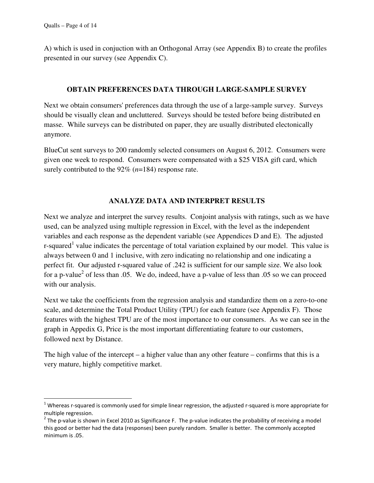l

A) which is used in conjuction with an Orthogonal Array (see Appendix B) to create the profiles presented in our survey (see Appendix C).

#### **OBTAIN PREFERENCES DATA THROUGH LARGE-SAMPLE SURVEY**

Next we obtain consumers' preferences data through the use of a large-sample survey. Surveys should be visually clean and uncluttered. Surveys should be tested before being distributed en masse. While surveys can be distributed on paper, they are usually distributed electonically anymore.

BlueCut sent surveys to 200 randomly selected consumers on August 6, 2012. Consumers were given one week to respond. Consumers were compensated with a \$25 VISA gift card, which surely contributed to the 92% (*n*=184) response rate.

## **ANALYZE DATA AND INTERPRET RESULTS**

Next we analyze and interpret the survey results. Conjoint analysis with ratings, such as we have used, can be analyzed using multiple regression in Excel, with the level as the independent variables and each response as the dependent variable (see Appendices D and E). The adjusted r-squared<sup>1</sup> value indicates the percentage of total variation explained by our model. This value is always between 0 and 1 inclusive, with zero indicating no relationship and one indicating a perfect fit. Our adjusted r-squared value of .242 is sufficient for our sample size. We also look for a p-value<sup>2</sup> of less than .05. We do, indeed, have a p-value of less than .05 so we can proceed with our analysis.

Next we take the coefficients from the regression analysis and standardize them on a zero-to-one scale, and determine the Total Product Utility (TPU) for each feature (see Appendix F). Those features with the highest TPU are of the most importance to our consumers. As we can see in the graph in Appedix G, Price is the most important differentiating feature to our customers, followed next by Distance.

The high value of the intercept – a higher value than any other feature – confirms that this is a very mature, highly competitive market.

 $1$  Whereas r-squared is commonly used for simple linear regression, the adjusted r-squared is more appropriate for multiple regression.

 $2$  The p-value is shown in Excel 2010 as Significance F. The p-value indicates the probability of receiving a model this good or better had the data (responses) been purely random. Smaller is better. The commonly accepted minimum is 05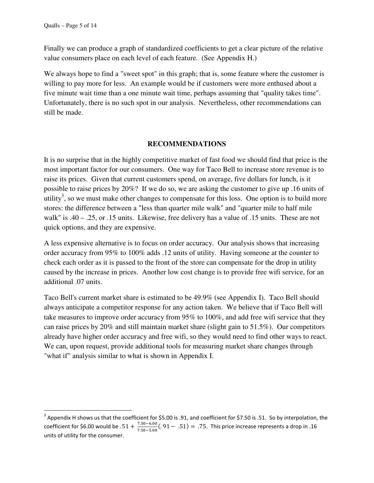l

Finally we can produce a graph of standardized coefficients to get a clear picture of the relative value consumers place on each level of each feature. (See Appendix H.)

We always hope to find a "sweet spot" in this graph; that is, some feature where the customer is willing to pay more for less. An example would be if customers were more enthused about a five minute wait time than a one minute wait time, perhaps assuming that "quality takes time". Unfortunately, there is no such spot in our analysis. Nevertheless, other recommendations can still be made.

### **RECOMMENDATIONS**

It is no surprise that in the highly competitive market of fast food we should find that price is the most important factor for our consumers. One way for Taco Bell to increase store revenue is to raise its prices. Given that current customers spend, on average, five dollars for lunch, is it possible to raise prices by 20%? If we do so, we are asking the customer to give up .16 units of utility<sup>3</sup>, so we must make other changes to compensate for this loss. One option is to build more stores: the difference between a "less than quarter mile walk" and "quarter mile to half mile walk" is .40 – .25, or .15 units. Likewise, free delivery has a value of .15 units. These are not quick options, and they are expensive.

A less expensive alternative is to focus on order accuracy. Our analysis shows that increasing order accuracy from 95% to 100% adds .12 units of utility. Having someone at the counter to check each order as it is passed to the front of the store can compensate for the drop in utility caused by the increase in prices. Another low cost change is to provide free wifi service, for an additional .07 units.

Taco Bell's current market share is estimated to be 49.9% (see Appendix I). Taco Bell should always anticipate a competitor response for any action taken. We believe that if Taco Bell will take measures to improve order accuracy from 95% to 100%, and add free wifi service that they can raise prices by 20% and still maintain market share (slight gain to 51.5%). Our competitors already have higher order accuracy and free wifi, so they would need to find other ways to react. We can, upon request, provide additional tools for measuring market share changes through "what if" analysis similar to what is shown in Appendix I.

<sup>&</sup>lt;sup>3</sup> Appendix H shows us that the coefficient for \$5.00 is .91, and coefficient for \$7.50 is .51. So by interpolation, the coefficient for \$6.00 would be  $.51 + \frac{7.50 - 6.00}{7.50 - 5.00}$  $\frac{7.50 - 6.00}{7.50 - 5.00}$  (. 91 - .51) = .75. This price increase represents a drop in .16 units of utility for the consumer.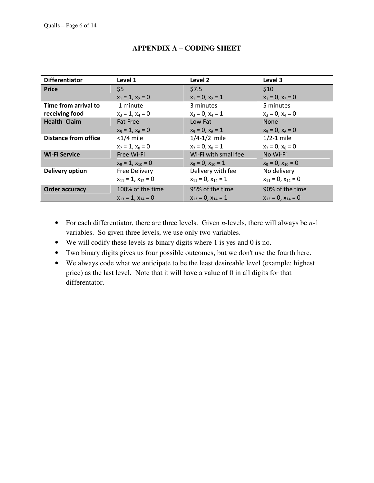| <b>Differentiator</b>       | Level 1                     | Level 2                     | Level 3                     |
|-----------------------------|-----------------------------|-----------------------------|-----------------------------|
| <b>Price</b>                | \$5                         | \$7.5                       | \$10                        |
|                             | $x_1 = 1$ , $x_2 = 0$       | $x_1 = 0$ , $x_2 = 1$       | $x_1 = 0, x_2 = 0$          |
| Time from arrival to        | 1 minute                    | 3 minutes                   | 5 minutes                   |
| receiving food              | $x_3 = 1$ , $x_4 = 0$       | $x_3 = 0$ , $x_4 = 1$       | $x_3 = 0$ , $x_4 = 0$       |
| <b>Health Claim</b>         | <b>Fat Free</b>             | Low Fat                     | <b>None</b>                 |
|                             | $x_5 = 1$ , $x_6 = 0$       | $x_5 = 0$ , $x_6 = 1$       | $x_5 = 0$ , $x_6 = 0$       |
| <b>Distance from office</b> | $<$ 1/4 mile                | $1/4 - 1/2$ mile            | $1/2-1$ mile                |
|                             | $x_7 = 1$ , $x_8 = 0$       | $x_7 = 0$ , $x_8 = 1$       | $x_7 = 0$ , $x_8 = 0$       |
| <b>Wi-Fi Service</b>        | Free Wi-Fi                  | Wi-Fi with small fee        | No Wi-Fi                    |
|                             | $x_9 = 1$ , $x_{10} = 0$    | $x_9 = 0$ , $x_{10} = 1$    | $x_9 = 0$ , $x_{10} = 0$    |
| <b>Delivery option</b>      | <b>Free Delivery</b>        | Delivery with fee           | No delivery                 |
|                             | $x_{11} = 1$ , $x_{12} = 0$ | $x_{11} = 0$ , $x_{12} = 1$ | $x_{11} = 0$ , $x_{12} = 0$ |
| <b>Order accuracy</b>       | 100% of the time            | 95% of the time             | 90% of the time             |
|                             | $X_{13} = 1$ , $X_{14} = 0$ | $x_{13} = 0$ , $x_{14} = 1$ | $x_{13} = 0$ , $x_{14} = 0$ |

# **APPENDIX A – CODING SHEET**

- For each differentiator, there are three levels. Given *n*-levels, there will always be *n*-1 variables. So given three levels, we use only two variables.
- We will codify these levels as binary digits where 1 is yes and 0 is no.
- Two binary digits gives us four possible outcomes, but we don't use the fourth here.
- We always code what we anticipate to be the least desireable level (example: highest price) as the last level. Note that it will have a value of 0 in all digits for that differentator.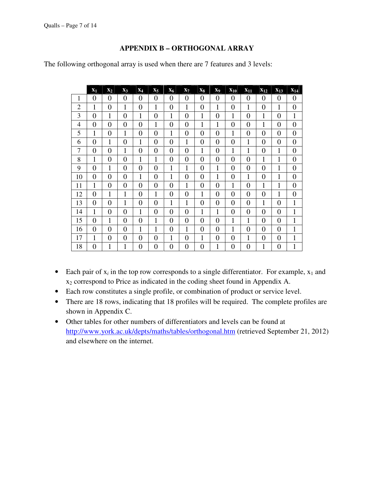### **APPENDIX B – ORTHOGONAL ARRAY**

The following orthogonal array is used when there are 7 features and 3 levels:

|                | $\mathbf{x}_1$ | $\mathbf{x}_2$ | $\mathbf{x}_3$ | $X_4$          | $X_5$          | $X_6$          | $X_7$          | $\mathbf{x}_8$ | X <sub>9</sub> | $X_{10}$       | $X_{11}$       | $X_{12}$         | $X_{13}$       | $X_{14}$       |
|----------------|----------------|----------------|----------------|----------------|----------------|----------------|----------------|----------------|----------------|----------------|----------------|------------------|----------------|----------------|
| $\mathbf{1}$   | $\theta$       | $\overline{0}$ | $\overline{0}$ | 0              | 0              | 0              | $\theta$       | 0              | 0              | 0              | $\theta$       | $\theta$         | $\theta$       | $\theta$       |
| $\overline{2}$ | $\mathbf{1}$   | $\overline{0}$ | 1              | $\overline{0}$ | 1              | $\overline{0}$ | $\mathbf{1}$   | $\overline{0}$ | $\mathbf{1}$   | $\overline{0}$ | $\mathbf{1}$   | $\overline{0}$   | $\mathbf{1}$   | $\overline{0}$ |
| 3              | $\overline{0}$ | 1              | $\theta$       | 1              | $\overline{0}$ | 1              | $\overline{0}$ | 1              | $\overline{0}$ | 1              | $\overline{0}$ | 1                | $\overline{0}$ | 1              |
| 4              | $\overline{0}$ | $\overline{0}$ | $\theta$       | $\overline{0}$ | 1              | $\overline{0}$ | $\overline{0}$ | 1              | $\mathbf{1}$   | $\overline{0}$ | $\overline{0}$ | 1                | $\overline{0}$ | $\overline{0}$ |
| 5              | 1              | $\overline{0}$ | 1              | $\overline{0}$ | $\theta$       | 1              | $\theta$       | $\overline{0}$ | $\overline{0}$ | 1              | $\theta$       | $\overline{0}$   | $\theta$       | $\overline{0}$ |
| 6              | $\overline{0}$ | $\mathbf{1}$   | $\overline{0}$ | 1              | $\overline{0}$ | $\overline{0}$ | $\mathbf{1}$   | $\overline{0}$ | $\theta$       | $\overline{0}$ | 1              | $\overline{0}$   | $\overline{0}$ | $\overline{0}$ |
| $\overline{7}$ | $\overline{0}$ | $\overline{0}$ | 1              | $\overline{0}$ | $\overline{0}$ | $\overline{0}$ | $\overline{0}$ | $\mathbf 1$    | $\overline{0}$ | 1              | $\mathbf{1}$   | $\overline{0}$   | $\mathbf{1}$   | $\overline{0}$ |
| 8              | 1              | $\overline{0}$ | $\overline{0}$ | 1              | 1              | $\overline{0}$ | $\overline{0}$ | $\overline{0}$ | $\overline{0}$ | $\overline{0}$ | $\overline{0}$ | 1                | $\mathbf{1}$   | $\overline{0}$ |
| 9              | $\theta$       | $\mathbf{1}$   | $\theta$       | $\overline{0}$ | $\theta$       | 1              | $\mathbf{1}$   | $\overline{0}$ | 1              | $\overline{0}$ | $\overline{0}$ | $\theta$         | $\mathbf{1}$   | $\overline{0}$ |
| 10             | $\overline{0}$ | $\overline{0}$ | $\overline{0}$ | 1              | $\overline{0}$ | 1              | $\overline{0}$ | $\overline{0}$ | $\mathbf{1}$   | $\overline{0}$ | $\mathbf{1}$   | $\overline{0}$   | $\mathbf{1}$   | $\overline{0}$ |
| 11             | 1              | $\overline{0}$ | $\overline{0}$ | $\overline{0}$ | $\overline{0}$ | $\overline{0}$ | 1              | $\overline{0}$ | $\overline{0}$ | 1              | $\overline{0}$ | 1                | 1              | $\overline{0}$ |
| 12             | $\overline{0}$ | 1              | 1              | $\overline{0}$ | 1              | $\overline{0}$ | $\overline{0}$ | 1              | $\overline{0}$ | $\overline{0}$ | $\overline{0}$ | $\overline{0}$   | 1              | $\overline{0}$ |
| 13             | $\overline{0}$ | $\overline{0}$ | 1              | $\overline{0}$ | $\overline{0}$ | 1              | 1              | $\overline{0}$ | $\overline{0}$ | $\overline{0}$ | $\overline{0}$ | 1                | $\overline{0}$ | 1              |
| 14             | 1              | $\overline{0}$ | $\overline{0}$ | 1              | $\overline{0}$ | $\overline{0}$ | $\overline{0}$ | 1              | $\mathbf{1}$   | $\overline{0}$ | $\overline{0}$ | $\overline{0}$   | $\overline{0}$ | 1              |
| 15             | $\overline{0}$ | $\mathbf{1}$   | $\overline{0}$ | $\overline{0}$ | 1              | $\overline{0}$ | $\overline{0}$ | $\overline{0}$ | $\overline{0}$ | 1              | 1              | 0                | $\overline{0}$ | 1              |
| 16             | $\overline{0}$ | $\overline{0}$ | $\overline{0}$ | 1              | 1              | $\overline{0}$ | $\mathbf{1}$   | $\overline{0}$ | $\overline{0}$ | 1              | $\overline{0}$ | $\boldsymbol{0}$ | $\overline{0}$ | 1              |
| 17             | 1              | $\overline{0}$ | $\overline{0}$ | $\overline{0}$ | $\overline{0}$ | 1              | $\overline{0}$ | 1              | $\overline{0}$ | $\overline{0}$ | $\mathbf{1}$   | $\overline{0}$   | $\overline{0}$ | $\mathbf{1}$   |
| 18             | $\overline{0}$ | $\mathbf{1}$   | 1              | $\overline{0}$ | $\overline{0}$ | 0              | $\overline{0}$ | $\overline{0}$ | $\mathbf{1}$   | $\overline{0}$ | $\overline{0}$ | 1                | $\overline{0}$ | 1              |

- Each pair of  $x_i$  in the top row corresponds to a single differentiator. For example,  $x_1$  and x2 correspond to Price as indicated in the coding sheet found in Appendix A.
- Each row constitutes a single profile, or combination of product or service level.
- There are 18 rows, indicating that 18 profiles will be required. The complete profiles are shown in Appendix C.
- Other tables for other numbers of differentiators and levels can be found at http://www.york.ac.uk/depts/maths/tables/orthogonal.htm (retrieved September 21, 2012) and elsewhere on the internet.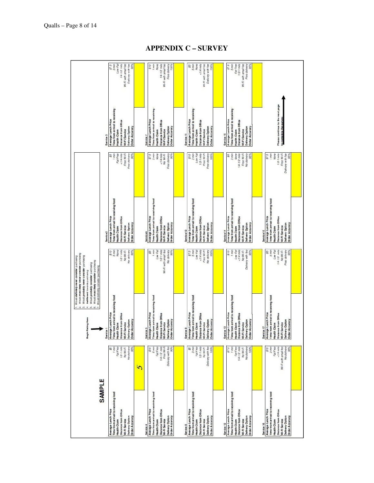## **APPENDIX C – SURVEY**

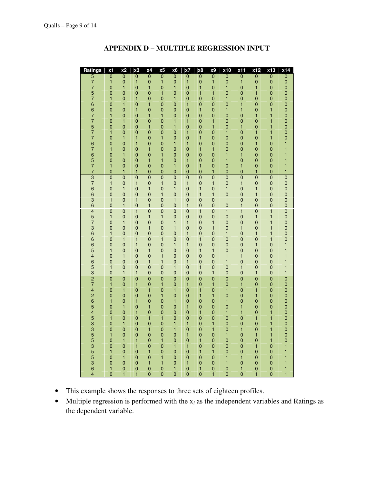| Ratings                                | x1             | x2             | x3                               | x4             | x5                                        | x <sub>6</sub>                       | x7                               | x8                                         | <b>x9</b>                                  | x10            | x11                                   | x12                                        | x13                              | x14                                   |
|----------------------------------------|----------------|----------------|----------------------------------|----------------|-------------------------------------------|--------------------------------------|----------------------------------|--------------------------------------------|--------------------------------------------|----------------|---------------------------------------|--------------------------------------------|----------------------------------|---------------------------------------|
| 577576677577676577                     | $\overline{0}$ | $\overline{0}$ | $\begin{matrix}0\\1\end{matrix}$ | $\overline{0}$ | $\overline{0}$                            | $\overline{0}$                       | $\frac{0}{1}$                    |                                            | $\begin{matrix}0\\1\end{matrix}$           | $\overline{0}$ | $\overline{0}$<br>1                   |                                            | $\overline{0}$<br>$0$            | 0000000000011                         |
|                                        | $\mathbf{1}$   | $\overline{0}$ |                                  | $\mathbf{0}$   | $\mathbf{1}$                              | 0                                    |                                  | $\overline{0}$<br>0                        |                                            | $\overline{0}$ |                                       | $\frac{0}{0}$                              |                                  |                                       |
|                                        | $\overline{0}$ | $\mathbf{1}$   | $\overline{0}$                   | $\mathbf{1}$   | $\overline{0}$                            | $\mathbf{1}$                         | $\overline{0}$                   | 1                                          | $\overline{0}$                             | $\mathbf{1}$   | $\overline{0}$                        | $\mathbf{1}$                               | $\overline{0}$                   |                                       |
|                                        |                |                |                                  |                |                                           |                                      |                                  |                                            |                                            |                |                                       |                                            |                                  |                                       |
|                                        | $\overline{0}$ | $\mathbf{0}$   | $\mathbf{0}$                     | $\mathbf{0}$   | $\mathbf{1}$                              | 0                                    | $\mathbf{0}$                     | 1                                          | 1                                          | $\mathbf{0}$   | $\mathbf{0}$                          | 1                                          | $\mathbf{0}$                     |                                       |
|                                        | $\mathbf{1}$   | $\mathbf{0}$   | $\mathbf{1}$                     | $\mathbf{0}$   | $\overline{0}$                            | $\mathbf{1}$                         | $\mathbf 0$                      | $\mathbf{0}$                               | $\overline{0}$                             | $\mathbf{1}$   | $\mathbf 0$                           | $\mathbf{0}$                               | $\mathbf{0}$                     |                                       |
|                                        | $\overline{0}$ | $\mathbf{1}$   | $\overline{0}$                   | $\mathbf{1}$   | $\overline{0}$                            | $\overline{0}$                       | $\mathbf{1}$                     | $\overline{0}$                             | $\overline{0}$                             | $\overline{0}$ | $\mathbf{1}$                          | $\overline{0}$                             | $\overline{0}$                   |                                       |
|                                        | $\overline{0}$ | $\mathbf{0}$   | $\mathbf{1}$                     | $\mathbf{0}$   | $\mathbf{0}$                              | $\overline{0}$                       | $\mathbf{0}$                     | $\mathbf{1}$                               | $\mathbf{0}$                               | $\mathbf{1}$   | $\mathbf{1}$                          | $\mathbf{0}$                               | $\mathbf{1}$                     |                                       |
|                                        | $\mathbf{1}$   | $\mathbf 0$    | $\mathbf{0}$                     | $\mathbf{1}$   | $\mathbf{1}$                              | $\overline{0}$                       |                                  |                                            |                                            | $\overline{0}$ | $\mathbf{0}$                          | $\mathbf{1}$                               | $\mathbf{1}$                     |                                       |
|                                        | $\overline{0}$ | 1              | $\overline{0}$                   | $\overline{0}$ | $\overline{0}$                            | $\mathbf{1}$                         | $\begin{matrix}0\\1\end{matrix}$ | $\begin{matrix}0\\0\end{matrix}$           | $\begin{matrix}0\\1\end{matrix}$           | $\mathbf{0}$   | $\mathbf{0}$                          | $\mathbf 0$                                | $\mathbf{1}$                     |                                       |
|                                        |                |                |                                  |                |                                           |                                      |                                  |                                            |                                            |                |                                       |                                            |                                  |                                       |
|                                        | $\overline{0}$ | $\mathbf{0}$   | $\begin{matrix}0\\0\end{matrix}$ | $\mathbf{1}$   | $\begin{matrix} 0 \\ 0 \\ 1 \end{matrix}$ | $\mathbf{1}$                         | $\mathbf{0}$                     | $\begin{array}{c} 0 \\ 0 \\ 1 \end{array}$ | $\mathbf{1}$                               | $\overline{0}$ | $\mathbf{1}$                          | $\begin{matrix}0\\1\end{matrix}$           | $\mathbf{1}$                     |                                       |
|                                        | $\mathbf{1}$   | $\mathbf 0$    |                                  | $\mathbf{0}$   |                                           | $\overline{0}$                       | $\mathbf{1}$                     |                                            | $\mathbf{0}$                               | $\mathbf{1}$   | $\overline{0}$                        |                                            | $\mathbf{1}$                     |                                       |
|                                        | $\overline{0}$ | 1              | $\mathbf{1}$                     | $\mathbf{0}$   |                                           | $\overline{0}$                       | $\mathbf{0}$                     |                                            | $\mathbf{0}$                               | $\overline{0}$ | $\mathbf{0}$                          | $\mathbf 0$                                | $\mathbf{1}$                     |                                       |
|                                        | $\overline{0}$ | $\mathbf{0}$   | $\mathbf{1}$                     | $\overline{0}$ |                                           | $\mathbf{1}$                         | $\mathbf{1}$                     |                                            | $\mathbf{0}$                               | $\mathbf{0}$   | $\mathbf{0}$                          | $\mathbf{1}$                               | $\mathbf{0}$                     |                                       |
|                                        | 1              | $\mathbf{0}$   | $\mathbf{0}$                     | $\mathbf{1}$   | $\begin{matrix}0\\0\end{matrix}$          | $\mathbf{0}$                         | $\mathbf{0}$                     | $\begin{matrix}0\\1\end{matrix}$           | $\mathbf{1}$                               | $\overline{0}$ | $\mathbf{0}$                          | $\mathbf{0}$                               | $\mathbf{0}$                     |                                       |
|                                        | $\overline{0}$ | 1              | $\mathbf{0}$                     | $\overline{0}$ | $\mathbf{1}$                              | 0                                    | $\mathbf{0}$                     | $\mathbf{0}$                               | $\overline{0}$                             | $\mathbf{1}$   | 1                                     | $\mathbf{0}$                               | $\mathbf{0}$                     |                                       |
|                                        | $\overline{0}$ | $\mathbf{0}$   | $\mathbf 0$                      | $\mathbf{1}$   | $\mathbf{1}$                              |                                      | $\mathbf{1}$                     |                                            | $\mathbf{0}$                               | $\mathbf{1}$   | $\overline{0}$                        |                                            | $\mathbf{0}$                     | $\begin{array}{c} 1 \\ 1 \end{array}$ |
|                                        |                |                |                                  |                |                                           | $\begin{matrix} 0 \\ 1 \end{matrix}$ |                                  | $\begin{matrix}0\\1\end{matrix}$           |                                            |                |                                       | $\mathbf{O}$                               |                                  |                                       |
|                                        | $\mathbf{1}$   | $\overline{0}$ | $\overline{0}$                   | $\mathbf{0}$   | $\overline{0}$                            |                                      | 0                                |                                            | $\overline{0}$                             | $\mathbf 0$    | $\mathbf{1}$                          | $\mathbf{0}$                               | $\mathbf{0}$                     | $\mathbf{1}$                          |
|                                        | $\overline{0}$ | 1              | $\mathbf{1}$                     | $\mathbf{0}$   | $\overline{0}$                            | $\overline{0}$                       | $\mathbf{0}$                     | $\overline{0}$                             | $\mathbf{1}$                               | $\overline{0}$ | $\overline{0}$                        | $\mathbf{1}$                               | $\overline{0}$                   | $\mathbf{1}$                          |
| 376636457366654653  274265453355355364 | $\overline{0}$ | $\overline{0}$ | $\overline{0}$                   | $\overline{0}$ | $\overline{0}$                            | $\overline{0}$                       | $\overline{0}$                   | $\overline{0}$<br>$0$                      | $\overline{0}$                             | $\overline{0}$ | $\overline{0}$                        | $\overline{0}$                             | $\overline{0}$                   | 000000000001                          |
|                                        | $\mathbf{1}$   | $\overline{0}$ | $\mathbf{1}$                     | $\bar{0}$      | $\mathbf{1}$                              | $\overline{0}$                       | $\mathbf{1}$                     |                                            | $\mathbf{1}$                               | $\overline{0}$ | $\mathbf{1}$                          | $\bar{0}$                                  | $\bar{0}$                        |                                       |
|                                        | $\mathbf{0}$   | $\mathbf{1}$   | $\mathbf{0}$                     | $\mathbf{1}$   | $\mathbf{0}$                              | $\mathbf{1}$                         | $\mathbf{0}$                     | $\frac{1}{1}$                              | $\mathbf{0}$                               | $\mathbf{1}$   | $\mathbf{0}$                          | $\mathbf{1}$                               | $\mathbf{0}$                     |                                       |
|                                        | $\overline{0}$ | $\overline{0}$ |                                  | $\mathbf{0}$   | $\mathbf{1}$                              | $\overline{0}$                       |                                  | $\mathbf{1}$                               | $\mathbf{1}$                               | $\overline{0}$ | $\mathbf{0}$                          | $\mathbf{1}$                               | $\mathbf{0}$                     |                                       |
|                                        | $\mathbf{1}$   | $\mathbf 0$    | $\begin{matrix}0\\1\end{matrix}$ | $\mathbf{0}$   | $\overline{0}$                            | $\mathbf{1}$                         | $\begin{matrix}0\\0\end{matrix}$ | $\mathbf{0}$                               | $\mathbf{0}$                               | $\mathbf{1}$   | $\overline{0}$                        | $\mathbf{0}$                               | $\overline{0}$                   |                                       |
|                                        |                |                |                                  |                |                                           |                                      |                                  |                                            |                                            |                |                                       |                                            |                                  |                                       |
|                                        | $\mathbf 0$    | $\mathbf{1}$   | $\mathbf{0}$                     | $\mathbf{1}$   | $\mathbf{0}$                              | $\overline{0}$                       | $\mathbf{1}$                     | $\mathbf{0}$                               | $\mathbf{0}$                               | $\mathbf{0}$   | $\mathbf{1}$                          | $\mathbf{0}$                               | $\mathbf{0}$                     |                                       |
|                                        | $\overline{0}$ | $\mathbf{0}$   | $\mathbf{1}$                     | $\mathbf{0}$   | $\bar{0}$                                 | $\overline{0}$                       | $\mathbf 0$                      | $\mathbf{1}$                               | $\mathbf{0}$                               | $\mathbf{1}$   | $\mathbf{1}$                          | $\mathbf{0}$                               | $\mathbf{1}$                     |                                       |
|                                        | $\mathbf{1}$   | $\overline{0}$ | $\mathbf{0}$                     | $\mathbf{1}$   | $\overline{1}$                            | $\overline{0}$                       | $\mathbf{0}$                     | $\mathbf{0}$                               | $\mathbf{0}$                               | $\mathbf{0}$   | $\mathbf{0}$                          | $\mathbf{1}$                               | $\mathbf{1}$                     |                                       |
|                                        | $\overline{0}$ | $\mathbf{1}$   | $\mathbf{0}$                     | $\mathbf{0}$   | $\mathbf{0}$                              | $\mathbf{1}$                         | $\mathbf{1}$                     | $\mathbf{0}$                               | $\mathbf{1}$                               | $\mathbf{0}$   | $\mathbf{0}$                          | $\mathbf{0}$                               | $\mathbf{1}$                     |                                       |
|                                        | $\overline{0}$ | $\mathbf{0}$   | $\mathbf{0}$                     | $\mathbf{1}$   | $\mathbf 0$                               | $\mathbf{1}$                         | $\mathbf{0}$                     | $\mathbf 0$                                | $\mathbf{1}$                               | $\overline{0}$ | $\mathbf{1}$                          | $\mathbf{0}$                               | $\mathbf{1}$                     |                                       |
|                                        | $\mathbf{1}$   | $\mathbf{0}$   | $\mathbf{0}$                     | $\mathbf{0}$   | $\mathbf{0}$                              | 0                                    | $\mathbf{1}$                     | $\mathbf{0}$                               | $\mathbf{0}$                               | $\mathbf{1}$   | $\mathbf{0}$                          | $\mathbf{1}$                               | $\mathbf{1}$                     |                                       |
|                                        | $\overline{0}$ | $\mathbf{1}$   | $\mathbf{1}$                     | $\mathbf{0}$   | $\mathbf{1}$                              | $\overline{0}$                       | $\mathbf{0}$                     | $\mathbf{1}$                               | $\mathbf{0}$                               | $\mathbf 0$    | $\mathbf{0}$                          | $\mathbf{0}$                               | $\mathbf{1}$                     |                                       |
|                                        | $\overline{0}$ | $\overline{0}$ | $\mathbf{1}$                     | $\overline{0}$ | $\mathbf 0$                               | $\mathbf{1}$                         | $\mathbf{1}$                     |                                            |                                            | $\mathbf{0}$   |                                       |                                            |                                  |                                       |
|                                        |                |                |                                  |                |                                           |                                      |                                  | $\mathbf{0}$                               | $\mathbf{0}$                               |                | $\mathbf{0}$                          | 1                                          | $\mathbf{0}$                     |                                       |
|                                        | $\mathbf{1}$   | $\overline{0}$ | $\mathbf{0}$                     | $\mathbf{1}$   | $\mathbf 0$                               | $\overline{0}$                       | $\mathbf{0}$                     | $\mathbf{1}$                               | $\mathbf{1}$                               | $\mathbf{0}$   | $\begin{matrix}0\\1\end{matrix}$      | $\begin{matrix}0\\0\end{matrix}$           | $\mathbf{0}$                     | $\begin{array}{c} 1 \\ 1 \end{array}$ |
|                                        | $\overline{0}$ | $\mathbf{1}$   | $\bar{0}$                        | $\overline{0}$ | $\overline{\mathbf{1}}$                   | $\overline{0}$                       | $\mathbf{0}$                     |                                            | $\mathbf{0}$                               | $\mathbf{1}$   |                                       |                                            | $\bar{0}$                        |                                       |
|                                        | $\overline{0}$ | $\overline{0}$ | $\overline{0}$                   | $\mathbf{1}$   | $\mathbf{1}$                              | $\overline{0}$                       | $\mathbf{1}$                     | $\begin{matrix}0\\0\end{matrix}$           | $\mathbf{0}$                               | $\mathbf{1}$   | $\mathbf{0}$                          | $\mathbf{0}$                               | $\overline{0}$                   | $\mathbf{1}$                          |
|                                        | $\mathbf{1}$   | $\overline{0}$ | $\mathbf{0}$                     | $\mathbf{0}$   | $\overline{0}$                            | $\mathbf{1}$                         | $\overline{0}$                   | $\mathbf{1}$                               | $\begin{matrix}0\\1\end{matrix}$           | $\overline{0}$ |                                       | $\begin{matrix}0\\1\end{matrix}$           | $\mathbf{0}$                     |                                       |
|                                        | $\overline{0}$ | 1              | $\mathbf{1}$                     | $\mathbf{0}$   | $\mathbf{0}$                              | $\overline{0}$                       | $\mathbf{0}$                     | $\mathbf{0}$                               |                                            | $\mathbf{0}$   | $\begin{array}{c} 1 \\ 0 \end{array}$ |                                            | $\mathbf{0}$                     | $\begin{array}{c} 1 \\ 1 \end{array}$ |
|                                        | $\overline{0}$ | $\overline{0}$ | $\overline{0}$                   | $\overline{0}$ | $\overline{0}$                            | $\overline{0}$                       | $\overline{0}$                   |                                            | $\overline{0}$                             | $\overline{0}$ | $\overline{0}$                        | $\overline{0}$                             | $\overline{0}$                   |                                       |
|                                        |                |                |                                  |                |                                           |                                      |                                  | $\begin{array}{c} 0 \\ 0 \\ 1 \end{array}$ |                                            |                |                                       |                                            |                                  |                                       |
|                                        | $\mathbf{1}$   | $\mathbf{0}$   | $\mathbf{1}$                     | $\mathbf{0}$   | $\mathbf{1}$                              | $\mathbf{0}$                         | $\mathbf{1}$                     |                                            | $\mathbf{1}$                               | $\mathbf{0}$   | $\mathbf{1}$                          | $\mathbf{0}$                               | $\mathbf{0}$                     |                                       |
|                                        | $\overline{0}$ | $\mathbf{1}$   | $\begin{matrix}0\\0\end{matrix}$ | $\mathbf{1}$   | $\begin{matrix}0\\1\end{matrix}$          | 1                                    | $\begin{matrix}0\\0\end{matrix}$ |                                            | $\begin{smallmatrix}0\\1\end{smallmatrix}$ | $\mathbf{1}$   | $\begin{matrix}0\\0\end{matrix}$      | $\mathbf{1}$                               | $\begin{matrix}0\\0\end{matrix}$ |                                       |
|                                        | $\overline{0}$ | $\overline{0}$ |                                  | $\overline{0}$ |                                           | $\overline{0}$                       |                                  | 1                                          |                                            | $\overline{0}$ |                                       | $\mathbf{1}$                               |                                  |                                       |
|                                        | 1              | $\mathbf{0}$   | $\mathbf{1}$                     | $\mathbf{0}$   | $\mathbf{0}$                              | 1                                    |                                  | $\mathbf{0}$                               | $\mathbf{0}$                               | $\mathbf{1}$   | $\mathbf{0}$                          |                                            | $\mathbf{0}$                     |                                       |
|                                        | $\overline{0}$ | $\mathbf{1}$   | $\overline{0}$                   | $\mathbf{1}$   | $\bar{0}$                                 | $\overline{0}$                       | $\begin{matrix}0\\1\end{matrix}$ |                                            | $\mathbf{0}$                               | $\overline{0}$ | $\mathbf{1}$                          | $\begin{matrix}0\\0\end{matrix}$           | $\mathbf{0}$                     |                                       |
|                                        | $\overline{0}$ | $\mathbf{0}$   | $\mathbf{1}$                     | $\overline{0}$ | $\mathbf{0}$                              | $\mathbf{0}$                         | $\mathbf{0}$                     | $\begin{matrix}0\\1\end{matrix}$           | $\mathbf{0}$                               | $\mathbf{1}$   | $\mathbf{1}$                          | $\mathbf{0}$                               | $\mathbf{1}$                     |                                       |
|                                        | $\mathbf{1}$   | $\mathbf{0}$   | $\mathbf{0}$                     | $\mathbf{1}$   | $\mathbf{1}$                              | $\mathbf{0}$                         | $\mathbf{0}$                     | $\mathbf{0}$                               | $\mathbf{0}$                               | $\mathbf{0}$   | $\mathbf{0}$                          | $\mathbf{1}$                               | $\mathbf{1}$                     |                                       |
|                                        | $\overline{0}$ | 1              | $\mathbf{0}$                     | $\mathbf{0}$   | $\mathbf 0$                               | 1                                    | $\mathbf{1}$                     | $\mathbf{0}$                               | $\mathbf{1}$                               | $\overline{0}$ | $\mathbf{0}$                          | $\mathbf 0$                                | $\mathbf{1}$                     |                                       |
|                                        | $\mathbf 0$    |                | $\mathbf{0}$                     |                |                                           | 1                                    |                                  |                                            |                                            | $\overline{0}$ |                                       |                                            | $\mathbf{1}$                     | 0000000000011                         |
|                                        |                | $\mathbf{0}$   |                                  | $\mathbf{1}$   | $\begin{matrix}0\\0\end{matrix}$          |                                      | $\mathbf{0}$                     | $\begin{matrix}0\\0\end{matrix}$           | $\mathbf{1}$                               |                | $\mathbf{1}$                          | $\begin{smallmatrix}0\\1\end{smallmatrix}$ |                                  |                                       |
|                                        | $\overline{1}$ | $\mathbf{0}$   | $\mathbf{0}$                     | $\mathbf{0}$   |                                           | $\mathbf{0}$                         | $\mathbf{1}$                     |                                            | $\mathbf{0}$                               | $\mathbf{1}$   | $\mathbf{0}$                          |                                            | $\mathbf{1}$                     |                                       |
|                                        | $\mathbf{0}$   | 1              | $\mathbf{1}$                     | $\mathbf{0}$   | $\overline{1}$                            | $\mathbf{0}$                         | $\mathbf{0}$                     | 1                                          | $\mathbf{0}$                               | $\mathbf{0}$   | $\mathbf{0}$                          | $\mathbf{0}$                               | $\mathbf{1}$                     |                                       |
|                                        | $\overline{0}$ | $\overline{0}$ | $\mathbf{1}$                     | $\overline{0}$ | $\mathbf{0}$                              | $\mathbf{1}$                         | $\mathbf{1}$                     | $\overline{0}$                             | $\mathbf{O}$                               | $\overline{0}$ | $\mathbf{0}$                          | $\mathbf{1}$                               | $\mathbf{0}$                     |                                       |
|                                        | $\mathbf{1}$   | $\mathbf 0$    | $\mathbf{0}$                     | $\mathbf{1}$   | $\mathbf{0}$                              | $\overline{0}$                       | $\mathbf{0}$                     | 1                                          | $\mathbf{1}$                               | $\mathbf 0$    | $\mathbf{0}$                          | $\mathbf{0}$                               | $\mathbf{0}$                     |                                       |
|                                        | $\overline{0}$ | $\mathbf{1}$   | $\mathbf{0}$                     | $\overline{0}$ | $\mathbf{1}$                              | $\overline{0}$                       | $\overline{0}$                   | $\mathbf{0}$                               | $\mathbf{0}$                               | $\mathbf{1}$   | $\mathbf{1}$                          | $\mathbf{0}$                               | $\mathbf{0}$                     | $\mathbf{1}$                          |
|                                        | $\overline{0}$ | $\mathbf{0}$   | $\mathbf{0}$                     | $\mathbf{1}$   | $\mathbf{1}$                              | 0                                    | $\mathbf{1}$                     | $\mathbf{0}$                               | $\mathbf{0}$                               | $\mathbf{1}$   | $\mathbf{O}$                          | $\mathbf{0}$                               | $\mathbf{0}$                     | $\mathbf{1}$                          |
|                                        | 1              | $\mathbf 0$    | $\mathbf{0}$                     | $\mathbf{0}$   | $\mathbf{0}$                              | $\mathbf{1}$                         | $\mathbf{0}$                     | $\mathbf{1}$                               | $\mathbf{0}$                               | $\mathbf{0}$   | $\mathbf{1}$                          | $\mathbf{0}$                               | $\mathbf{0}$                     | $\mathbf{1}$                          |
|                                        |                |                |                                  |                |                                           |                                      |                                  |                                            |                                            |                |                                       |                                            |                                  |                                       |
|                                        | $\overline{0}$ | 1              | 1                                | $\overline{0}$ | $\overline{0}$                            | $\overline{0}$                       | $\overline{0}$                   | $\overline{0}$                             | $\mathbf{1}$                               | $\overline{0}$ | $\overline{0}$                        | 1                                          | $\overline{0}$                   | $\mathbf{1}$                          |

# **APPENDIX D – MULTIPLE REGRESSION INPUT**

- This example shows the responses to three sets of eighteen profiles.
- Multiple regression is performed with the  $x_i$  as the independent variables and Ratings as the dependent variable.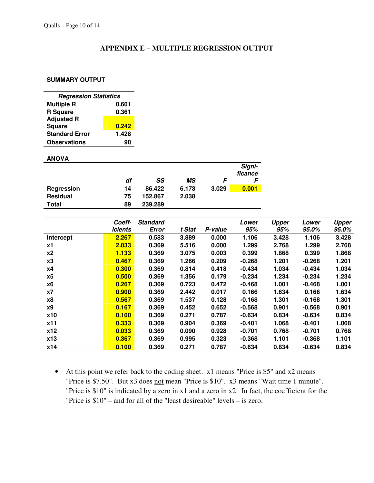#### **APPENDIX E – MULTIPLE REGRESSION OUTPUT**

#### **SUMMARY OUTPUT**

| <b>Regression Statistics</b> |       |  |  |  |  |  |  |
|------------------------------|-------|--|--|--|--|--|--|
| <b>Multiple R</b>            | 0.601 |  |  |  |  |  |  |
| <b>R</b> Square              | 0.361 |  |  |  |  |  |  |
| <b>Adjusted R</b>            |       |  |  |  |  |  |  |
| <b>Square</b>                | 0.242 |  |  |  |  |  |  |
| <b>Standard Error</b>        | 1.428 |  |  |  |  |  |  |
| <b>Observations</b>          | 90    |  |  |  |  |  |  |

#### **ANOVA**

|                 |    |         |       |       | Signi-<br>ficance |
|-----------------|----|---------|-------|-------|-------------------|
|                 | df | SS      | МS    |       |                   |
| Regression      | 14 | 86.422  | 6.173 | 3.029 | 0.001             |
| <b>Residual</b> | 75 | 152.867 | 2.038 |       |                   |
| Total           | 89 | 239.289 |       |       |                   |

|           | Coeff-<br>icients | <b>Standard</b><br>Error | t Stat | P-value | Lower<br>95% | <b>Upper</b><br>95% | Lower<br>95.0% | <b>Upper</b><br>95.0% |
|-----------|-------------------|--------------------------|--------|---------|--------------|---------------------|----------------|-----------------------|
| Intercept | 2.267             | 0.583                    | 3.889  | 0.000   | 1.106        | 3.428               | 1.106          | 3.428                 |
| <b>x1</b> | 2.033             | 0.369                    | 5.516  | 0.000   | 1.299        | 2.768               | 1.299          | 2.768                 |
| x2        | 1.133             | 0.369                    | 3.075  | 0.003   | 0.399        | 1.868               | 0.399          | 1.868                 |
| x3        | 0.467             | 0.369                    | 1.266  | 0.209   | $-0.268$     | 1.201               | $-0.268$       | 1.201                 |
| x4        | 0.300             | 0.369                    | 0.814  | 0.418   | $-0.434$     | 1.034               | $-0.434$       | 1.034                 |
| x5        | 0.500             | 0.369                    | 1.356  | 0.179   | $-0.234$     | 1.234               | $-0.234$       | 1.234                 |
| <b>x6</b> | 0.267             | 0.369                    | 0.723  | 0.472   | $-0.468$     | 1.001               | -0.468         | 1.001                 |
| x7        | 0.900             | 0.369                    | 2.442  | 0.017   | 0.166        | 1.634               | 0.166          | 1.634                 |
| <b>x8</b> | 0.567             | 0.369                    | 1.537  | 0.128   | $-0.168$     | 1.301               | $-0.168$       | 1.301                 |
| <b>x9</b> | 0.167             | 0.369                    | 0.452  | 0.652   | $-0.568$     | 0.901               | $-0.568$       | 0.901                 |
| x10       | 0.100             | 0.369                    | 0.271  | 0.787   | $-0.634$     | 0.834               | $-0.634$       | 0.834                 |
| x11       | 0.333             | 0.369                    | 0.904  | 0.369   | $-0.401$     | 1.068               | $-0.401$       | 1.068                 |
| x12       | 0.033             | 0.369                    | 0.090  | 0.928   | $-0.701$     | 0.768               | $-0.701$       | 0.768                 |
| x13       | 0.367             | 0.369                    | 0.995  | 0.323   | $-0.368$     | 1.101               | $-0.368$       | 1.101                 |
| x14       | 0.100             | 0.369                    | 0.271  | 0.787   | $-0.634$     | 0.834               | $-0.634$       | 0.834                 |

• At this point we refer back to the coding sheet. x1 means "Price is \$5" and x2 means "Price is \$7.50". But x3 does not mean "Price is \$10". x3 means "Wait time 1 minute". "Price is \$10" is indicated by a zero in x1 and a zero in x2. In fact, the coefficient for the "Price is \$10" – and for all of the "least desireable" levels – is zero.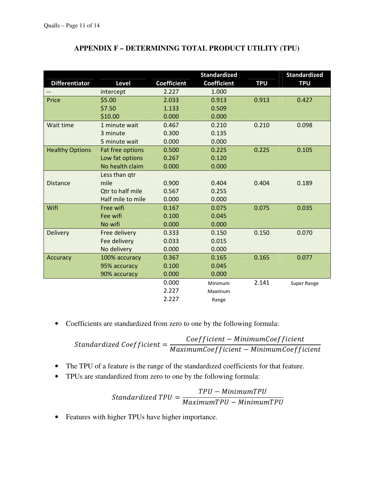|                        |                   |                    | <b>Standardized</b> |            | <b>Standardized</b> |
|------------------------|-------------------|--------------------|---------------------|------------|---------------------|
| <b>Differentiator</b>  | <b>Level</b>      | <b>Coefficient</b> | <b>Coefficient</b>  | <b>TPU</b> | <b>TPU</b>          |
|                        | intercept         | 2.227              | 1.000               |            |                     |
| Price                  | \$5.00            | 2.033              | 0.913               | 0.913      | 0.427               |
|                        | \$7.50            | 1.133              | 0.509               |            |                     |
|                        | \$10.00           | 0.000              | 0.000               |            |                     |
| Wait time              | 1 minute wait     | 0.467              | 0.210               | 0.210      | 0.098               |
|                        | 3 minute          | 0.300              | 0.135               |            |                     |
|                        | 5 minute wait     | 0.000              | 0.000               |            |                     |
| <b>Healthy Options</b> | Fat free options  | 0.500              | 0.225               | 0.225      | 0.105               |
|                        | Low fat options   | 0.267              | 0.120               |            |                     |
|                        | No health claim   | 0.000              | 0.000               |            |                     |
|                        | Less than qtr     |                    |                     |            |                     |
| <b>Distance</b>        | mile              | 0.900              | 0.404               | 0.404      | 0.189               |
|                        | Qtr to half mile  | 0.567              | 0.255               |            |                     |
|                        | Half mile to mile | 0.000              | 0.000               |            |                     |
| Wifl                   | Free wifi         | 0.167              | 0.075               | 0.075      | 0.035               |
|                        | Fee wifi          | 0.100              | 0.045               |            |                     |
|                        | No wifi           | 0.000              | 0.000               |            |                     |
| <b>Delivery</b>        | Free delivery     | 0.333              | 0.150               | 0.150      | 0.070               |
|                        | Fee delivery      | 0.033              | 0.015               |            |                     |
|                        | No delivery       | 0.000              | 0.000               |            |                     |
| Accuracy               | 100% accuracy     | 0.367              | 0.165               | 0.165      | 0.077               |
|                        | 95% accuracy      | 0.100              | 0.045               |            |                     |
|                        | 90% accuracy      | 0.000              | 0.000               |            |                     |
|                        |                   | 0.000              | Minimum             | 2.141      | Super Range         |
|                        |                   | 2.227              | Maximum             |            |                     |
|                        |                   | 2.227              | Range               |            |                     |

## **APPENDIX F – DETERMINING TOTAL PRODUCT UTILITY (TPU)**

• Coefficients are standardized from zero to one by the following formula:

Standardized Coefficient  $=$ Coefficient – MinimumCoefficient  $Maximum Coefficient - Minimum Coefficient$ 

- The TPU of a feature is the range of the standardized coefficients for that feature.
- TPUs are standardized from zero to one by the following formula:

Standardized 
$$
TPU = \frac{TPU - MinimumTPU}{MaximumTPU - MinimumTPU}
$$

• Features with higher TPUs have higher importance.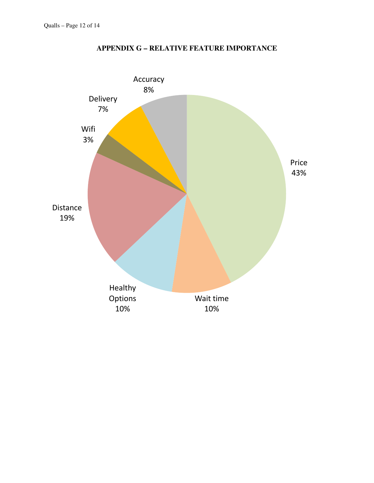

# **APPENDIX G – RELATIVE FEATURE IMPORTANCE**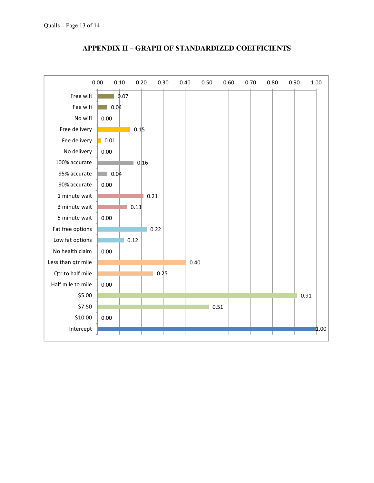

#### **APPENDIX H – GRAPH OF STANDARDIZED COEFFICIENTS**